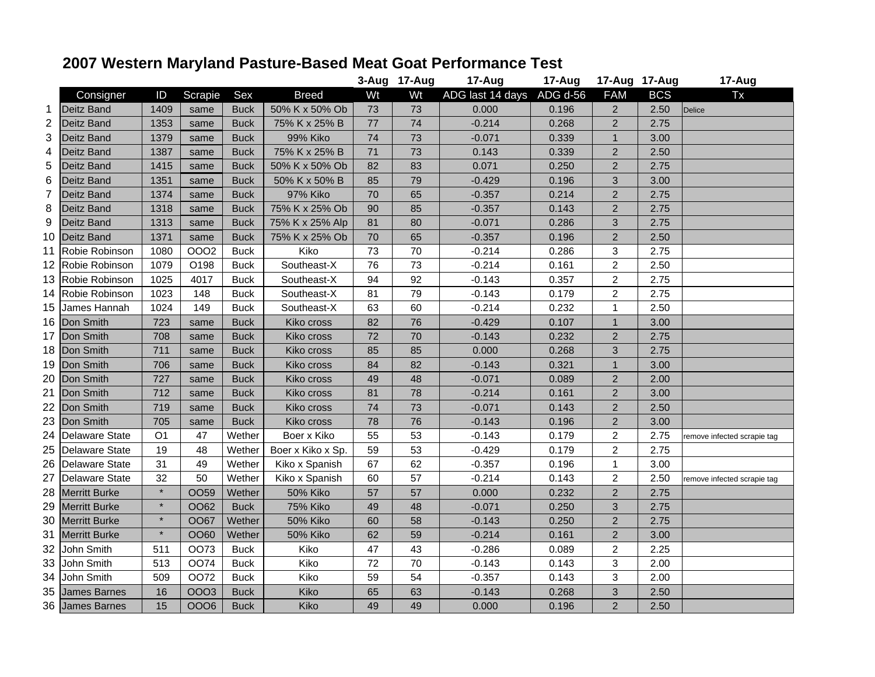## **2007 Western Maryland Pasture-Based Meat Goat Performance Test**

|                 |                       |         |             |             |                   |    | 3-Aug 17-Aug | 17-Aug           | 17-Aug   | 17-Aug 17-Aug  |            | 17-Aug                      |
|-----------------|-----------------------|---------|-------------|-------------|-------------------|----|--------------|------------------|----------|----------------|------------|-----------------------------|
|                 | Consigner             | ID      | Scrapie     | Sex         | <b>Breed</b>      | Wt | Wt           | ADG last 14 days | ADG d-56 | <b>FAM</b>     | <b>BCS</b> | <b>Tx</b>                   |
| 1               | <b>Deitz Band</b>     | 1409    | same        | <b>Buck</b> | 50% K x 50% Ob    | 73 | 73           | 0.000            | 0.196    | $\overline{2}$ | 2.50       | <b>Delice</b>               |
| 2               | Deitz Band            | 1353    | same        | <b>Buck</b> | 75% K x 25% B     | 77 | 74           | $-0.214$         | 0.268    | $\overline{2}$ | 2.75       |                             |
| 3               | Deitz Band            | 1379    | same        | <b>Buck</b> | 99% Kiko          | 74 | 73           | $-0.071$         | 0.339    | $\mathbf{1}$   | 3.00       |                             |
| 4               | <b>Deitz Band</b>     | 1387    | same        | <b>Buck</b> | 75% K x 25% B     | 71 | 73           | 0.143            | 0.339    | $\overline{2}$ | 2.50       |                             |
| 5               | <b>Deitz Band</b>     | 1415    | same        | <b>Buck</b> | 50% K x 50% Ob    | 82 | 83           | 0.071            | 0.250    | $\overline{2}$ | 2.75       |                             |
| 6               | <b>Deitz Band</b>     | 1351    | same        | <b>Buck</b> | 50% K x 50% B     | 85 | 79           | $-0.429$         | 0.196    | 3              | 3.00       |                             |
| 7               | Deitz Band            | 1374    | same        | <b>Buck</b> | 97% Kiko          | 70 | 65           | $-0.357$         | 0.214    | $\overline{2}$ | 2.75       |                             |
| 8               | <b>Deitz Band</b>     | 1318    | same        | <b>Buck</b> | 75% K x 25% Ob    | 90 | 85           | $-0.357$         | 0.143    | 2              | 2.75       |                             |
| 9               | <b>Deitz Band</b>     | 1313    | same        | <b>Buck</b> | 75% K x 25% Alp   | 81 | 80           | $-0.071$         | 0.286    | 3              | 2.75       |                             |
| 10              | <b>Deitz Band</b>     | 1371    | same        | <b>Buck</b> | 75% K x 25% Ob    | 70 | 65           | $-0.357$         | 0.196    | $\overline{2}$ | 2.50       |                             |
| 11              | Robie Robinson        | 1080    | <b>OOO2</b> | <b>Buck</b> | Kiko              | 73 | 70           | $-0.214$         | 0.286    | 3              | 2.75       |                             |
| 12 <sub>2</sub> | Robie Robinson        | 1079    | O198        | <b>Buck</b> | Southeast-X       | 76 | 73           | $-0.214$         | 0.161    | $\overline{c}$ | 2.50       |                             |
|                 | 13 Robie Robinson     | 1025    | 4017        | <b>Buck</b> | Southeast-X       | 94 | 92           | $-0.143$         | 0.357    | $\overline{2}$ | 2.75       |                             |
| 14              | Robie Robinson        | 1023    | 148         | <b>Buck</b> | Southeast-X       | 81 | 79           | $-0.143$         | 0.179    | $\overline{2}$ | 2.75       |                             |
|                 | 15 James Hannah       | 1024    | 149         | <b>Buck</b> | Southeast-X       | 63 | 60           | $-0.214$         | 0.232    | 1              | 2.50       |                             |
| 16              | Don Smith             | 723     | same        | <b>Buck</b> | Kiko cross        | 82 | 76           | $-0.429$         | 0.107    | $\mathbf{1}$   | 3.00       |                             |
| 17              | Don Smith             | 708     | same        | <b>Buck</b> | Kiko cross        | 72 | 70           | $-0.143$         | 0.232    | 2              | 2.75       |                             |
| 18              | Don Smith             | 711     | same        | <b>Buck</b> | Kiko cross        | 85 | 85           | 0.000            | 0.268    | 3              | 2.75       |                             |
| 19              | Don Smith             | 706     | same        | <b>Buck</b> | Kiko cross        | 84 | 82           | $-0.143$         | 0.321    | $\mathbf{1}$   | 3.00       |                             |
| 20              | Don Smith             | 727     | same        | <b>Buck</b> | Kiko cross        | 49 | 48           | $-0.071$         | 0.089    | $\overline{2}$ | 2.00       |                             |
| 21              | Don Smith             | 712     | same        | <b>Buck</b> | Kiko cross        | 81 | 78           | $-0.214$         | 0.161    | $\overline{2}$ | 3.00       |                             |
| 22              | Don Smith             | 719     | same        | <b>Buck</b> | Kiko cross        | 74 | 73           | $-0.071$         | 0.143    | $\overline{2}$ | 2.50       |                             |
| 23              | Don Smith             | 705     | same        | <b>Buck</b> | Kiko cross        | 78 | 76           | $-0.143$         | 0.196    | $\overline{2}$ | 3.00       |                             |
| 24              | Delaware State        | O1      | 47          | Wether      | Boer x Kiko       | 55 | 53           | -0.143           | 0.179    | 2              | 2.75       | remove infected scrapie tag |
| 25              | <b>Delaware State</b> | 19      | 48          | Wether      | Boer x Kiko x Sp. | 59 | 53           | $-0.429$         | 0.179    | $\overline{2}$ | 2.75       |                             |
| 26              | <b>Delaware State</b> | 31      | 49          | Wether      | Kiko x Spanish    | 67 | 62           | $-0.357$         | 0.196    | 1              | 3.00       |                             |
| 27              | <b>Delaware State</b> | 32      | 50          | Wether      | Kiko x Spanish    | 60 | 57           | $-0.214$         | 0.143    | $\overline{c}$ | 2.50       | remove infected scrapie tag |
| 28              | <b>Merritt Burke</b>  | $\star$ | OO59        | Wether      | 50% Kiko          | 57 | 57           | 0.000            | 0.232    | $\overline{2}$ | 2.75       |                             |
| 29              | <b>Merritt Burke</b>  | $\star$ | OO62        | <b>Buck</b> | 75% Kiko          | 49 | 48           | $-0.071$         | 0.250    | 3              | 2.75       |                             |
| 30              | <b>Merritt Burke</b>  | $\star$ | <b>OO67</b> | Wether      | <b>50% Kiko</b>   | 60 | 58           | $-0.143$         | 0.250    | $\overline{2}$ | 2.75       |                             |
| 31              | <b>Merritt Burke</b>  | $\star$ | OO60        | Wether      | 50% Kiko          | 62 | 59           | $-0.214$         | 0.161    | 2              | 3.00       |                             |
| 32              | John Smith            | 511     | OO73        | <b>Buck</b> | Kiko              | 47 | 43           | $-0.286$         | 0.089    | $\overline{2}$ | 2.25       |                             |
|                 | 33 John Smith         | 513     | <b>OO74</b> | <b>Buck</b> | Kiko              | 72 | 70           | $-0.143$         | 0.143    | 3              | 2.00       |                             |
|                 | 34 John Smith         | 509     | OO72        | <b>Buck</b> | Kiko              | 59 | 54           | $-0.357$         | 0.143    | 3              | 2.00       |                             |
|                 | 35 James Barnes       | 16      | <b>OOO3</b> | <b>Buck</b> | Kiko              | 65 | 63           | $-0.143$         | 0.268    | 3              | 2.50       |                             |
|                 | 36 James Barnes       | 15      | 0006        | <b>Buck</b> | Kiko              | 49 | 49           | 0.000            | 0.196    | $\overline{2}$ | 2.50       |                             |